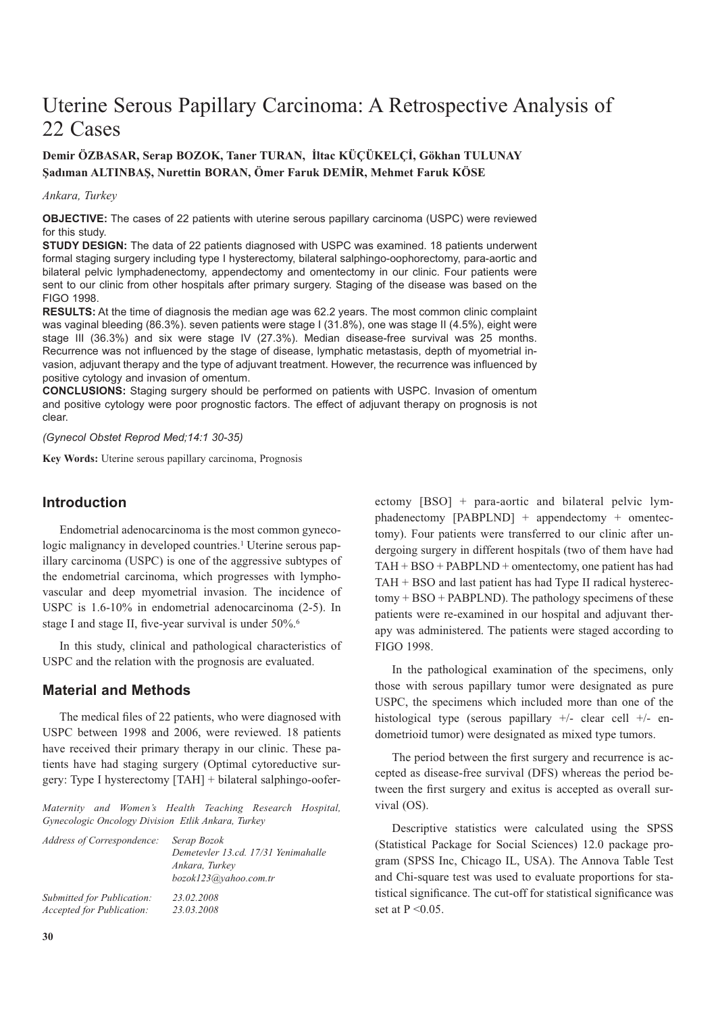# Uterine Serous Papillary Carcinoma: A Retrospective Analysis of 22 Cases

## **Demir ÖZBASAR, Serap BOZOK, Taner TURAN, İltac KÜÇÜKELÇİ, Gökhan TULUNAY Şadıman ALTINBAŞ, Nurettin BORAN, Ömer Faruk DEMİR, Mehmet Faruk KÖSE**

#### *Ankara, Turkey*

**OBJECTIVE:** The cases of 22 patients with uterine serous papillary carcinoma (USPC) were reviewed for this study.

**STUDY DESIGN:** The data of 22 patients diagnosed with USPC was examined. 18 patients underwent formal staging surgery including type I hysterectomy, bilateral salphingo-oophorectomy, para-aortic and bilateral pelvic lymphadenectomy, appendectomy and omentectomy in our clinic. Four patients were sent to our clinic from other hospitals after primary surgery. Staging of the disease was based on the FIGO 1998.

**RESULTS:** At the time of diagnosis the median age was 62.2 years. The most common clinic complaint was vaginal bleeding (86.3%), seven patients were stage I (31.8%), one was stage II (4.5%), eight were stage III (36.3%) and six were stage IV (27.3%). Median disease-free survival was 25 months. Recurrence was not influenced by the stage of disease, lymphatic metastasis, depth of myometrial invasion, adjuvant therapy and the type of adjuvant treatment. However, the recurrence was influenced by positive cytology and invasion of omentum.

**CONCLUSIONS:** Staging surgery should be performed on patients with USPC. Invasion of omentum and positive cytology were poor prognostic factors. The effect of adjuvant therapy on prognosis is not clear.

*(Gynecol Obstet Reprod Med;14:1 30-35)*

**Key Words:** Uterine serous papillary carcinoma, Prognosis

### **Introduction**

Endometrial adenocarcinoma is the most common gynecologic malignancy in developed countries.<sup>1</sup> Uterine serous papillary carcinoma (USPC) is one of the aggressive subtypes of the endometrial carcinoma, which progresses with lymphovascular and deep myometrial invasion. The incidence of USPC is 1.6-10% in endometrial adenocarcinoma (2-5). In stage I and stage II, five-year survival is under 50%.6

In this study, clinical and pathological characteristics of USPC and the relation with the prognosis are evaluated.

### **Material and Methods**

The medical files of 22 patients, who were diagnosed with USPC between 1998 and 2006, were reviewed. 18 patients have received their primary therapy in our clinic. These patients have had staging surgery (Optimal cytoreductive surgery: Type I hysterectomy [TAH] + bilateral salphingo-oofer-

*Maternity and Women's Health Teaching Research Hospital, Gynecologic Oncology Division Etlik Ankara, Turkey* 

| Address of Correspondence: | Serap Bozok<br>Demetevler 13.cd. 17/31 Yenimahalle<br>Ankara, Turkev<br>bozok123@yahoo.com.tr |
|----------------------------|-----------------------------------------------------------------------------------------------|
| Submitted for Publication: | 23.02.2008                                                                                    |
| Accepted for Publication:  | 23.03.2008                                                                                    |

ectomy [BSO] + para-aortic and bilateral pelvic lymphadenectomy [PABPLND] + appendectomy + omentectomy). Four patients were transferred to our clinic after undergoing surgery in different hospitals (two of them have had TAH + BSO + PABPLND + omentectomy, one patient has had TAH + BSO and last patient has had Type II radical hysterectomy + BSO + PABPLND). The pathology specimens of these patients were re-examined in our hospital and adjuvant therapy was administered. The patients were staged according to FIGO 1998.

In the pathological examination of the specimens, only those with serous papillary tumor were designated as pure USPC, the specimens which included more than one of the histological type (serous papillary  $+/-$  clear cell  $+/-$  endometrioid tumor) were designated as mixed type tumors.

The period between the first surgery and recurrence is accepted as disease-free survival (DFS) whereas the period between the first surgery and exitus is accepted as overall survival (OS).

Descriptive statistics were calculated using the SPSS (Statistical Package for Social Sciences) 12.0 package program (SPSS Inc, Chicago IL, USA). The Annova Table Test and Chi-square test was used to evaluate proportions for statistical significance. The cut-off for statistical significance was set at  $P \leq 0.05$ .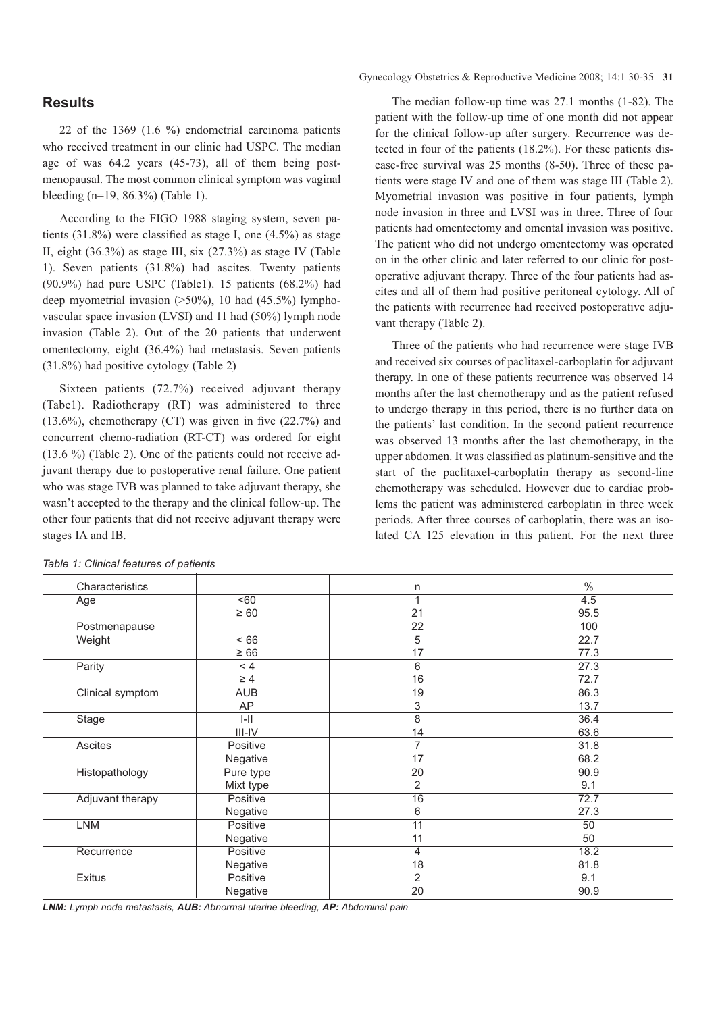### **Results**

22 of the 1369 (1.6 %) endometrial carcinoma patients who received treatment in our clinic had USPC. The median age of was 64.2 years (45-73), all of them being postmenopausal. The most common clinical symptom was vaginal bleeding (n=19, 86.3%) (Table 1).

According to the FIGO 1988 staging system, seven patients  $(31.8\%)$  were classified as stage I, one  $(4.5\%)$  as stage II, eight (36.3%) as stage III, six (27.3%) as stage IV (Table 1). Seven patients (31.8%) had ascites. Twenty patients  $(90.9\%)$  had pure USPC (Table1). 15 patients  $(68.2\%)$  had deep myometrial invasion  $(>50\%)$ , 10 had  $(45.5\%)$  lymphovascular space invasion (LVSI) and 11 had (50%) lymph node invasion (Table 2). Out of the 20 patients that underwent omentectomy, eight (36.4%) had metastasis. Seven patients (31.8%) had positive cytology (Table 2)

Sixteen patients (72.7%) received adjuvant therapy (Tabe1). Radiotherapy (RT) was administered to three (13.6%), chemotherapy (CT) was given in five (22.7%) and concurrent chemo-radiation (RT-CT) was ordered for eight (13.6 %) (Table 2). One of the patients could not receive adjuvant therapy due to postoperative renal failure. One patient who was stage IVB was planned to take adjuvant therapy, she wasn't accepted to the therapy and the clinical follow-up. The other four patients that did not receive adjuvant therapy were stages IA and IB.

The median follow-up time was 27.1 months (1-82). The patient with the follow-up time of one month did not appear for the clinical follow-up after surgery. Recurrence was detected in four of the patients (18.2%). For these patients disease-free survival was 25 months (8-50). Three of these patients were stage IV and one of them was stage III (Table 2). Myometrial invasion was positive in four patients, lymph node invasion in three and LVSI was in three. Three of four patients had omentectomy and omental invasion was positive. The patient who did not undergo omentectomy was operated on in the other clinic and later referred to our clinic for postoperative adjuvant therapy. Three of the four patients had ascites and all of them had positive peritoneal cytology. All of the patients with recurrence had received postoperative adjuvant therapy (Table 2).

Three of the patients who had recurrence were stage IVB and received six courses of paclitaxel-carboplatin for adjuvant therapy. In one of these patients recurrence was observed 14 months after the last chemotherapy and as the patient refused to undergo therapy in this period, there is no further data on the patients' last condition. In the second patient recurrence was observed 13 months after the last chemotherapy, in the upper abdomen. It was classified as platinum-sensitive and the start of the paclitaxel-carboplatin therapy as second-line chemotherapy was scheduled. However due to cardiac problems the patient was administered carboplatin in three week periods. After three courses of carboplatin, there was an isolated CA 125 elevation in this patient. For the next three

| Characteristics         |                  | n               | $\%$ |
|-------------------------|------------------|-----------------|------|
| Age                     | 50 <sub>60</sub> | 1               | 4.5  |
|                         | $\geq 60$        | 21              | 95.5 |
| Postmenapause           |                  | 22              | 100  |
| Weight                  | < 66             | 5               | 22.7 |
|                         | $\geq 66$        | 17              | 77.3 |
| Parity                  | < 4              | 6               | 27.3 |
|                         | $\geq 4$         | 16              | 72.7 |
| Clinical symptom        | <b>AUB</b>       | 19              | 86.3 |
|                         | AP               | 3               | 13.7 |
| Stage                   | $I-II$           | 8               | 36.4 |
|                         | $III$ -IV        | 14              | 63.6 |
| Ascites                 | Positive         | $\overline{7}$  | 31.8 |
|                         | <b>Negative</b>  | 17              | 68.2 |
| Histopathology          | Pure type        | 20              | 90.9 |
|                         | Mixt type        | 2               | 9.1  |
| <b>Adjuvant therapy</b> | Positive         | $\overline{16}$ | 72.7 |
|                         | Negative         | 6               | 27.3 |
| LNM                     | Positive         | $\overline{11}$ | 50   |
|                         | Negative         | 11              | 50   |
| Recurrence              | Positive         | 4               | 18.2 |
|                         | Negative         | 18              | 81.8 |
| <b>Exitus</b>           | Positive         | $\overline{2}$  | 9.1  |
|                         | Negative         | 20              | 90.9 |

*Table 1: Clinical features of patients*

*LNM: Lymph node metastasis, AUB: Abnormal uterine bleeding, AP: Abdominal pain*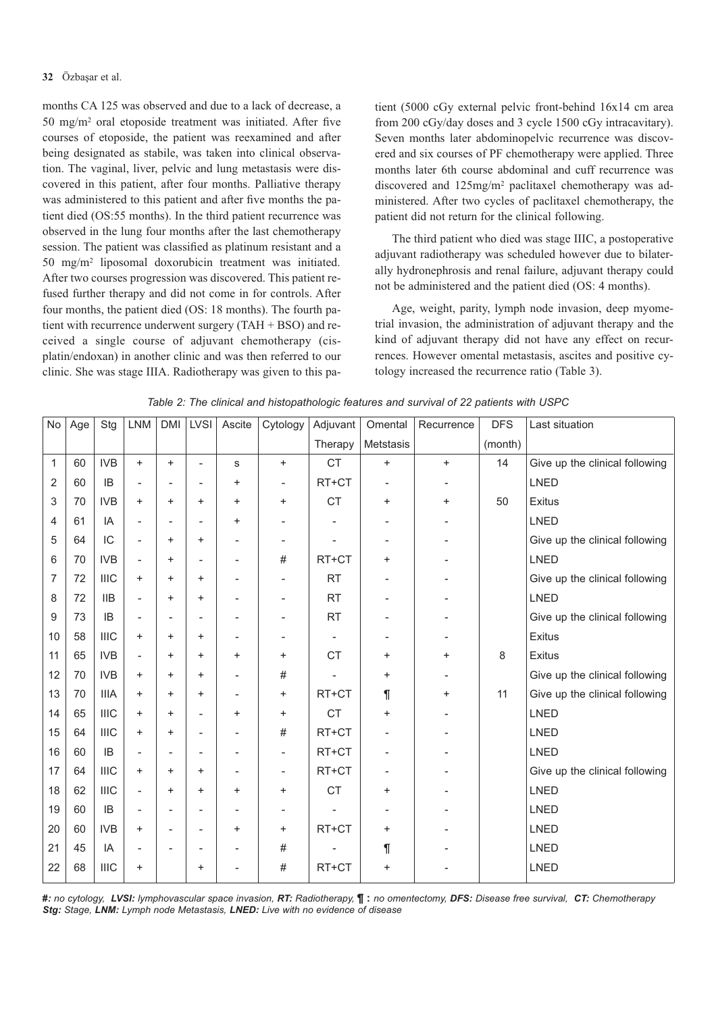months CA 125 was observed and due to a lack of decrease, a 50 mg/m2 oral etoposide treatment was initiated. After five courses of etoposide, the patient was reexamined and after being designated as stabile, was taken into clinical observation. The vaginal, liver, pelvic and lung metastasis were discovered in this patient, after four months. Palliative therapy was administered to this patient and after five months the patient died (OS:55 months). In the third patient recurrence was observed in the lung four months after the last chemotherapy session. The patient was classified as platinum resistant and a 50 mg/m2 liposomal doxorubicin treatment was initiated. After two courses progression was discovered. This patient refused further therapy and did not come in for controls. After four months, the patient died (OS: 18 months). The fourth patient with recurrence underwent surgery (TAH + BSO) and received a single course of adjuvant chemotherapy (cisplatin/endoxan) in another clinic and was then referred to our clinic. She was stage IIIA. Radiotherapy was given to this patient (5000 cGy external pelvic front-behind 16x14 cm area from 200 cGy/day doses and 3 cycle 1500 cGy intracavitary). Seven months later abdominopelvic recurrence was discovered and six courses of PF chemotherapy were applied. Three months later 6th course abdominal and cuff recurrence was discovered and 125mg/m2 paclitaxel chemotherapy was administered. After two cycles of paclitaxel chemotherapy, the patient did not return for the clinical following.

The third patient who died was stage IIIC, a postoperative adjuvant radiotherapy was scheduled however due to bilaterally hydronephrosis and renal failure, adjuvant therapy could not be administered and the patient died (OS: 4 months).

Age, weight, parity, lymph node invasion, deep myometrial invasion, the administration of adjuvant therapy and the kind of adjuvant therapy did not have any effect on recurrences. However omental metastasis, ascites and positive cytology increased the recurrence ratio (Table 3).

| No           | Age | Stg         | <b>LNM</b>               | <b>DMI</b>               | LVSI                     | Ascite                   | Cytology                 | Adjuvant       | Omental   | Recurrence | <b>DFS</b> | Last situation                 |
|--------------|-----|-------------|--------------------------|--------------------------|--------------------------|--------------------------|--------------------------|----------------|-----------|------------|------------|--------------------------------|
|              |     |             |                          |                          |                          |                          |                          | Therapy        | Metstasis |            | (month)    |                                |
| $\mathbf{1}$ | 60  | <b>IVB</b>  | $\ddot{}$                | $\ddot{}$                | $\overline{\phantom{a}}$ | s                        | $\ddot{}$                | <b>CT</b>      | $\ddot{}$ | $\ddot{}$  | 14         | Give up the clinical following |
| 2            | 60  | IB          | $\overline{\phantom{a}}$ | $\overline{\phantom{a}}$ |                          | $\ddot{}$                |                          | RT+CT          |           |            |            | <b>LNED</b>                    |
| 3            | 70  | <b>IVB</b>  | $\ddot{}$                | $\ddot{}$                | $\ddot{}$                | $\ddot{}$                | +                        | <b>CT</b>      | $\ddot{}$ | $\ddot{}$  | 50         | Exitus                         |
| 4            | 61  | IA          | $\overline{\phantom{a}}$ | $\overline{\phantom{a}}$ |                          | $\pmb{+}$                |                          |                |           |            |            | <b>LNED</b>                    |
| 5            | 64  | IC          | $\overline{\phantom{a}}$ | +                        | $\ddot{}$                | $\overline{a}$           | $\overline{a}$           | $\overline{a}$ |           |            |            | Give up the clinical following |
| 6            | 70  | <b>IVB</b>  | $\overline{\phantom{a}}$ | $\ddot{}$                |                          | $\overline{\phantom{a}}$ | #                        | RT+CT          | +         |            |            | <b>LNED</b>                    |
| 7            | 72  | <b>IIIC</b> | $\ddot{}$                | $\ddot{}$                | $\ddot{}$                |                          |                          | <b>RT</b>      |           |            |            | Give up the clinical following |
| 8            | 72  | <b>IIB</b>  | $\overline{\phantom{a}}$ | $\ddot{}$                | $\ddot{}$                |                          |                          | <b>RT</b>      |           |            |            | <b>LNED</b>                    |
| 9            | 73  | IB          | $\overline{\phantom{a}}$ | $\overline{\phantom{a}}$ |                          |                          |                          | <b>RT</b>      |           |            |            | Give up the clinical following |
| 10           | 58  | <b>IIIC</b> | $\ddot{}$                | $\ddot{}$                | $\ddot{}$                |                          |                          |                |           |            |            | Exitus                         |
| 11           | 65  | <b>IVB</b>  | $\overline{\phantom{a}}$ | $\ddot{}$                | $\ddot{}$                | $\ddot{}$                | +                        | <b>CT</b>      | +         | $\ddot{}$  | 8          | <b>Exitus</b>                  |
| 12           | 70  | <b>IVB</b>  | $\ddot{}$                | $\ddot{}$                | $\ddot{}$                | $\overline{\phantom{a}}$ | #                        |                | +         |            |            | Give up the clinical following |
| 13           | 70  | <b>IIIA</b> | $\ddot{}$                | $\ddot{}$                | $\ddot{}$                | $\overline{\phantom{a}}$ | $\ddot{}$                | RT+CT          | ſ         | $\ddot{}$  | 11         | Give up the clinical following |
| 14           | 65  | <b>IIIC</b> | $\ddot{}$                | +                        |                          | $\pmb{+}$                | $\ddot{}$                | <b>CT</b>      | +         |            |            | <b>LNED</b>                    |
| 15           | 64  | <b>IIIC</b> | $\ddot{}$                | $\ddot{}$                |                          | $\overline{a}$           | #                        | RT+CT          |           |            |            | <b>LNED</b>                    |
| 16           | 60  | IB          | $\overline{\phantom{a}}$ | $\overline{\phantom{a}}$ | $\overline{\phantom{a}}$ | $\overline{a}$           | $\overline{\phantom{a}}$ | RT+CT          | ٠         |            |            | <b>LNED</b>                    |
| 17           | 64  | <b>IIIC</b> | $\ddot{}$                | $\ddot{}$                | $\ddot{}$                |                          |                          | RT+CT          |           |            |            | Give up the clinical following |
| 18           | 62  | <b>IIIC</b> | $\overline{\phantom{a}}$ | +                        | +                        | $\pmb{+}$                | +                        | <b>CT</b>      | +         |            |            | <b>LNED</b>                    |
| 19           | 60  | IB          | $\overline{\phantom{a}}$ | $\overline{\phantom{a}}$ |                          |                          |                          |                |           |            |            | <b>LNED</b>                    |
| 20           | 60  | <b>IVB</b>  | $\ddot{}$                | $\overline{\phantom{a}}$ |                          | $\ddot{}$                | +                        | RT+CT          | $\ddot{}$ |            |            | <b>LNED</b>                    |
| 21           | 45  | IA          |                          |                          |                          |                          | #                        |                | ſ         |            |            | <b>LNED</b>                    |
| 22           | 68  | <b>IIIC</b> | $\pmb{+}$                |                          | +                        |                          | #                        | RT+CT          | +         |            |            | <b>LNED</b>                    |
|              |     |             |                          |                          |                          |                          |                          |                |           |            |            |                                |

*Table 2: The clinical and histopathologic features and survival of 22 patients with USPC* 

*#: no cytology, LVSI: lymphovascular space invasion, RT: Radiotherapy,* **¶ :** *no omentectomy, DFS: Disease free survival, CT: Chemotherapy Stg: Stage, LNM: Lymph node Metastasis, LNED: Live with no evidence of disease*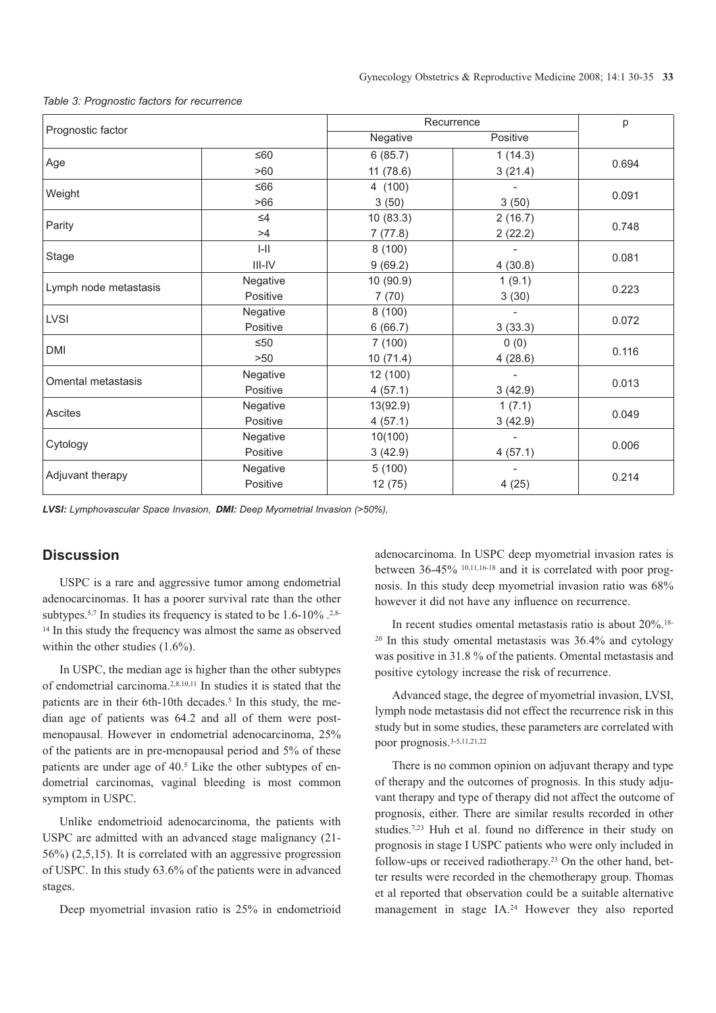|                       |           | Recurrence | p        |       |  |
|-----------------------|-----------|------------|----------|-------|--|
| Prognostic factor     |           | Negative   | Positive |       |  |
|                       | $≤60$     | 6(85.7)    | 1(14.3)  | 0.694 |  |
| Age                   | >60       | 11(78.6)   | 3(21.4)  |       |  |
| Weight                | $≤66$     | 4 (100)    |          |       |  |
|                       | >66       | 3(50)      | 3(50)    | 0.091 |  |
| Parity                | $\leq 4$  | 10(83.3)   | 2(16.7)  | 0.748 |  |
|                       | >4        | 7(77.8)    | 2(22.2)  |       |  |
|                       | $I-II$    | 8(100)     |          | 0.081 |  |
| Stage                 | $III$ -IV | 9(69.2)    | 4(30.8)  |       |  |
| Lymph node metastasis | Negative  | 10 (90.9)  | 1(9.1)   | 0.223 |  |
|                       | Positive  | 7(70)      | 3(30)    |       |  |
| <b>LVSI</b>           | Negative  | 8(100)     |          |       |  |
|                       | Positive  | 6(66.7)    | 3(33.3)  | 0.072 |  |
| <b>DMI</b>            | $\leq 50$ | 7(100)     | 0(0)     | 0.116 |  |
|                       | >50       | 10(71.4)   | 4(28.6)  |       |  |
| Omental metastasis    | Negative  | 12 (100)   |          | 0.013 |  |
|                       | Positive  | 4(57.1)    | 3(42.9)  |       |  |
| Ascites               | Negative  | 13(92.9)   | 1(7.1)   | 0.049 |  |
|                       | Positive  | 4(57.1)    | 3(42.9)  |       |  |
| Cytology              | Negative  | 10(100)    |          | 0.006 |  |
|                       | Positive  | 3(42.9)    | 4(57.1)  |       |  |
| Adjuvant therapy      | Negative  | 5(100)     |          |       |  |
|                       | Positive  | 12(75)     | 4(25)    | 0.214 |  |

*Table 3: Prognostic factors for recurrence*

*LVSI: Lymphovascular Space Invasion, DMI: Deep Myometrial Invasion (>50%),* 

# **Discussion**

USPC is a rare and aggressive tumor among endometrial adenocarcinomas. It has a poorer survival rate than the other subtypes.<sup>5,7</sup> In studies its frequency is stated to be  $1.6$ - $10\%$ .<sup>2,8-</sup> <sup>14</sup> In this study the frequency was almost the same as observed within the other studies (1.6%).

In USPC, the median age is higher than the other subtypes of endometrial carcinoma.2,8,10,11 In studies it is stated that the patients are in their 6th-10th decades.<sup>5</sup> In this study, the median age of patients was 64.2 and all of them were postmenopausal. However in endometrial adenocarcinoma, 25% of the patients are in pre-menopausal period and 5% of these patients are under age of 40.<sup>5</sup> Like the other subtypes of endometrial carcinomas, vaginal bleeding is most common symptom in USPC.

Unlike endometrioid adenocarcinoma, the patients with USPC are admitted with an advanced stage malignancy (21- 56%) (2,5,15). It is correlated with an aggressive progression of USPC. In this study 63.6% of the patients were in advanced stages.

Deep myometrial invasion ratio is 25% in endometrioid

adenocarcinoma. In USPC deep myometrial invasion rates is between 36-45% 10,11,16-18 and it is correlated with poor prognosis. In this study deep myometrial invasion ratio was 68% however it did not have any influence on recurrence.

In recent studies omental metastasis ratio is about 20%.18-  $20$  In this study omental metastasis was  $36.4\%$  and cytology was positive in 31.8 % of the patients. Omental metastasis and positive cytology increase the risk of recurrence.

Advanced stage, the degree of myometrial invasion, LVSI, lymph node metastasis did not effect the recurrence risk in this study but in some studies, these parameters are correlated with poor prognosis.3-5,11,21,22

There is no common opinion on adjuvant therapy and type of therapy and the outcomes of prognosis. In this study adjuvant therapy and type of therapy did not affect the outcome of prognosis, either. There are similar results recorded in other studies.<sup>7,23</sup> Huh et al. found no difference in their study on prognosis in stage I USPC patients who were only included in follow-ups or received radiotherapy.23 On the other hand, better results were recorded in the chemotherapy group. Thomas et al reported that observation could be a suitable alternative management in stage IA.24 However they also reported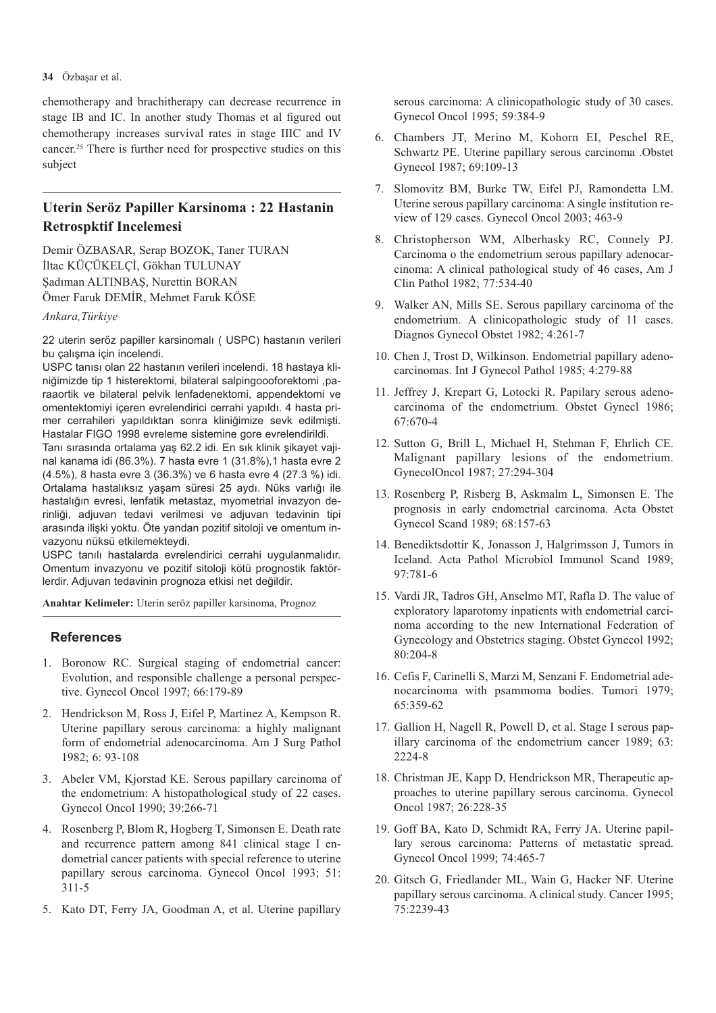#### **34** Özbaşar et al.

chemotherapy and brachitherapy can decrease recurrence in stage IB and IC. In another study Thomas et al figured out chemotherapy increases survival rates in stage IIIC and IV cancer.25 There is further need for prospective studies on this subject

# **Uterin Seröz Papiller Karsinoma : 22 Hastanin Retrospktif Incelemesi**

Demir ÖZBASAR, Serap BOZOK, Taner TURAN İltac KÜÇÜKELÇİ, Gökhan TULUNAY Şadıman ALTINBAŞ, Nurettin BORAN Ömer Faruk DEMİR, Mehmet Faruk KÖSE

### *Ankara,Türkiye*

22 uterin seröz papiller karsinomalı ( USPC) hastanın verileri bu çalışma için incelendi.

USPC tanısı olan 22 hastanın verileri incelendi. 18 hastaya kliniğimizde tip 1 histerektomi, bilateral salpingoooforektomi ,paraaortik ve bilateral pelvik lenfadenektomi, appendektomi ve omentektomiyi içeren evrelendirici cerrahi yapıldı. 4 hasta primer cerrahileri yapıldıktan sonra kliniğimize sevk edilmişti. Hastalar FIGO 1998 evreleme sistemine gore evrelendirildi. Tanı sırasında ortalama yaş 62.2 idi. En sık klinik şikayet vajinal kanama idi (86.3%). 7 hasta evre 1 (31.8%),1 hasta evre 2 (4.5%), 8 hasta evre 3 (36.3%) ve 6 hasta evre 4 (27.3 %) idi. Ortalama hastalıksız yaşam süresi 25 aydı. Nüks varlığı ile hastalığın evresi, lenfatik metastaz, myometrial invazyon derinliği, adjuvan tedavi verilmesi ve adjuvan tedavinin tipi arasında ilişki yoktu. Öte yandan pozitif sitoloji ve omentum invazyonu nüksü etkilemekteydi.

USPC tanılı hastalarda evrelendirici cerrahi uygulanmalıdır. Omentum invazyonu ve pozitif sitoloji kötü prognostik faktörlerdir. Adjuvan tedavinin prognoza etkisi net değildir.

**Anahtar Kelimeler:** Uterin seröz papiller karsinoma, Prognoz

#### **References**

- 1. Boronow RC. Surgical staging of endometrial cancer: Evolution, and responsible challenge a personal perspective. Gynecol Oncol 1997; 66:179-89
- 2. Hendrickson M, Ross J, Eifel P, Martinez A, Kempson R. Uterine papillary serous carcinoma: a highly malignant form of endometrial adenocarcinoma. Am J Surg Pathol 1982; 6: 93-108
- 3. Abeler VM, Kjorstad KE. Serous papillary carcinoma of the endometrium: A histopathological study of 22 cases. Gynecol Oncol 1990; 39:266-71
- 4. Rosenberg P, Blom R, Hogberg T, Simonsen E. Death rate and recurrence pattern among 841 clinical stage I endometrial cancer patients with special reference to uterine papillary serous carcinoma. Gynecol Oncol 1993; 51: 311-5
- 5. Kato DT, Ferry JA, Goodman A, et al. Uterine papillary

serous carcinoma: A clinicopathologic study of 30 cases. Gynecol Oncol 1995; 59:384-9

- 6. Chambers JT, Merino M, Kohorn EI, Peschel RE, Schwartz PE. Uterine papillary serous carcinoma .Obstet Gynecol 1987; 69:109-13
- 7. Slomovitz BM, Burke TW, Eifel PJ, Ramondetta LM. Uterine serous papillary carcinoma: A single institution review of 129 cases. Gynecol Oncol 2003; 463-9
- 8. Christopherson WM, Alberhasky RC, Connely PJ. Carcinoma o the endometrium serous papillary adenocarcinoma: A clinical pathological study of 46 cases, Am J Clin Pathol 1982; 77:534-40
- 9. Walker AN, Mills SE. Serous papillary carcinoma of the endometrium. A clinicopathologic study of 11 cases. Diagnos Gynecol Obstet 1982; 4:261-7
- 10. Chen J, Trost D, Wilkinson. Endometrial papillary adenocarcinomas. Int J Gynecol Pathol 1985; 4:279-88
- 11. Jeffrey J, Krepart G, Lotocki R. Papilary serous adenocarcinoma of the endometrium. Obstet Gynecl 1986; 67:670-4
- 12. Sutton G, Brill L, Michael H, Stehman F, Ehrlich CE. Malignant papillary lesions of the endometrium. GynecolOncol 1987; 27:294-304
- 13. Rosenberg P, Risberg B, Askmalm L, Simonsen E. The prognosis in early endometrial carcinoma. Acta Obstet Gynecol Scand 1989; 68:157-63
- 14. Benediktsdottir K, Jonasson J, Halgrimsson J, Tumors in Iceland. Acta Pathol Microbiol Immunol Scand 1989; 97:781-6
- 15. Vardi JR, Tadros GH, Anselmo MT, Rafla D. The value of exploratory laparotomy inpatients with endometrial carcinoma according to the new International Federation of Gynecology and Obstetrics staging. Obstet Gynecol 1992; 80:204-8
- 16. Cefis F, Carinelli S, Marzi M, Senzani F. Endometrial adenocarcinoma with psammoma bodies. Tumori 1979; 65:359-62
- 17. Gallion H, Nagell R, Powell D, et al. Stage I serous papillary carcinoma of the endometrium cancer 1989; 63: 2224-8
- 18. Christman JE, Kapp D, Hendrickson MR, Therapeutic approaches to uterine papillary serous carcinoma. Gynecol Oncol 1987; 26:228-35
- 19. Goff BA, Kato D, Schmidt RA, Ferry JA. Uterine papillary serous carcinoma: Patterns of metastatic spread. Gynecol Oncol 1999; 74:465-7
- 20. Gitsch G, Friedlander ML, Wain G, Hacker NF. Uterine papillary serous carcinoma. A clinical study. Cancer 1995; 75:2239-43